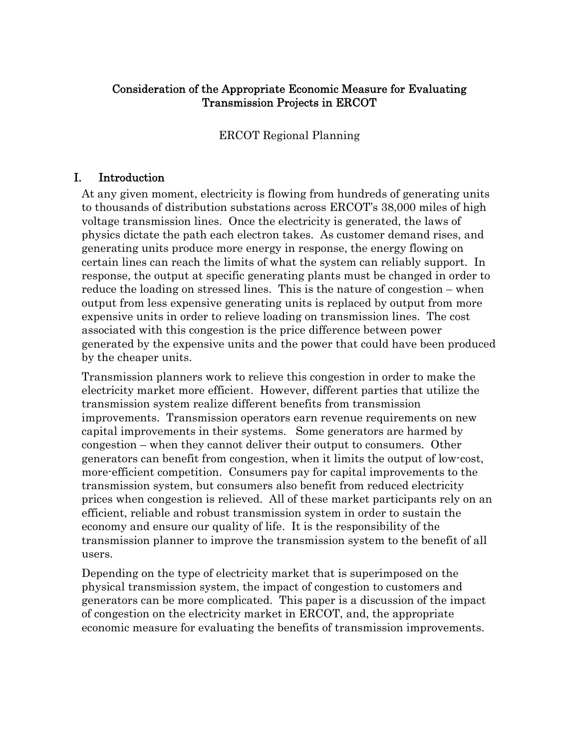# Consideration of the Appropriate Economic Measure for Evaluating Transmission Projects in ERCOT

ERCOT Regional Planning

# I. Introduction

At any given moment, electricity is flowing from hundreds of generating units to thousands of distribution substations across ERCOT's 38,000 miles of high voltage transmission lines. Once the electricity is generated, the laws of physics dictate the path each electron takes. As customer demand rises, and generating units produce more energy in response, the energy flowing on certain lines can reach the limits of what the system can reliably support. In response, the output at specific generating plants must be changed in order to reduce the loading on stressed lines. This is the nature of congestion – when output from less expensive generating units is replaced by output from more expensive units in order to relieve loading on transmission lines. The cost associated with this congestion is the price difference between power generated by the expensive units and the power that could have been produced by the cheaper units.

Transmission planners work to relieve this congestion in order to make the electricity market more efficient. However, different parties that utilize the transmission system realize different benefits from transmission improvements. Transmission operators earn revenue requirements on new capital improvements in their systems. Some generators are harmed by congestion – when they cannot deliver their output to consumers. Other generators can benefit from congestion, when it limits the output of low-cost, more-efficient competition. Consumers pay for capital improvements to the transmission system, but consumers also benefit from reduced electricity prices when congestion is relieved. All of these market participants rely on an efficient, reliable and robust transmission system in order to sustain the economy and ensure our quality of life. It is the responsibility of the transmission planner to improve the transmission system to the benefit of all users.

Depending on the type of electricity market that is superimposed on the physical transmission system, the impact of congestion to customers and generators can be more complicated. This paper is a discussion of the impact of congestion on the electricity market in ERCOT, and, the appropriate economic measure for evaluating the benefits of transmission improvements.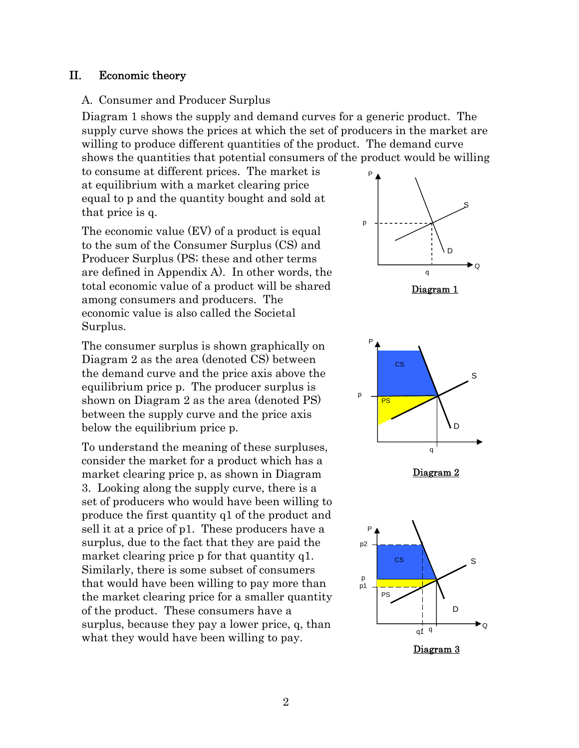#### II. Economic theory

#### A. Consumer and Producer Surplus

Diagram 1 shows the supply and demand curves for a generic product. The supply curve shows the prices at which the set of producers in the market are willing to produce different quantities of the product. The demand curve shows the quantities that potential consumers of the product would be willing

to consume at different prices. The market is at equilibrium with a market clearing price equal to p and the quantity bought and sold at that price is q.

The economic value (EV) of a product is equal to the sum of the Consumer Surplus (CS) and Producer Surplus (PS; these and other terms are defined in Appendix A). In other words, the total economic value of a product will be shared among consumers and producers. The economic value is also called the Societal Surplus.

The consumer surplus is shown graphically on Diagram 2 as the area (denoted CS) between the demand curve and the price axis above the equilibrium price p. The producer surplus is shown on Diagram 2 as the area (denoted PS) between the supply curve and the price axis below the equilibrium price p.

To understand the meaning of these surpluses, consider the market for a product which has a market clearing price p, as shown in Diagram 3. Looking along the supply curve, there is a set of producers who would have been willing to produce the first quantity q1 of the product and sell it at a price of p1. These producers have a surplus, due to the fact that they are paid the market clearing price p for that quantity q1. Similarly, there is some subset of consumers that would have been willing to pay more than the market clearing price for a smaller quantity of the product. These consumers have a surplus, because they pay a lower price, q, than what they would have been willing to pay.





Diagram 2



Diagram 3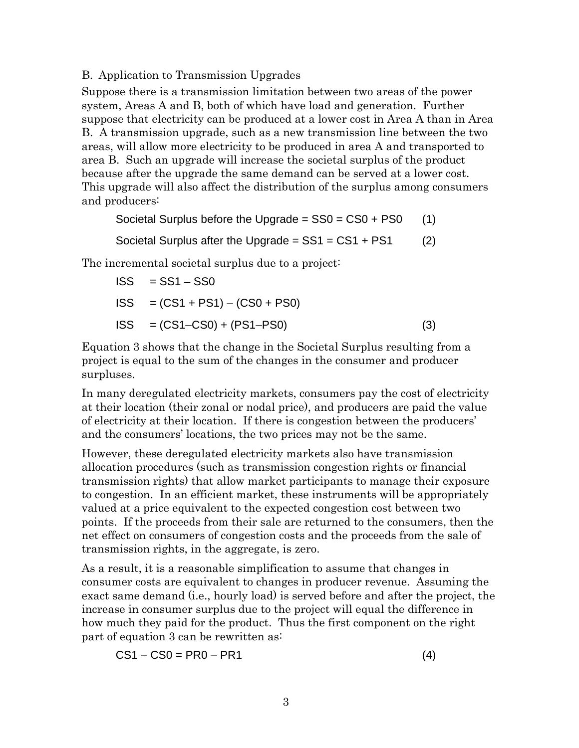B. Application to Transmission Upgrades

Suppose there is a transmission limitation between two areas of the power system, Areas A and B, both of which have load and generation. Further suppose that electricity can be produced at a lower cost in Area A than in Area B. A transmission upgrade, such as a new transmission line between the two areas, will allow more electricity to be produced in area A and transported to area B. Such an upgrade will increase the societal surplus of the product because after the upgrade the same demand can be served at a lower cost. This upgrade will also affect the distribution of the surplus among consumers and producers:

Societal Surplus before the Upgrade  $=$  SS0  $=$  CS0  $+$  PS0 (1)

Societal Surplus after the Upgrade  $=$  SS1  $=$  CS1  $+$  PS1 (2)

The incremental societal surplus due to a project:

$$
ISS = SS1 - SS0
$$
  

$$
ISS = (CS1 + PS1) - (CS0 + PS0)
$$
  

$$
ISS = (CS1 - CS0) + (PS1 - PS0)
$$
 (3)

Equation 3 shows that the change in the Societal Surplus resulting from a project is equal to the sum of the changes in the consumer and producer surpluses.

In many deregulated electricity markets, consumers pay the cost of electricity at their location (their zonal or nodal price), and producers are paid the value of electricity at their location. If there is congestion between the producers' and the consumers' locations, the two prices may not be the same.

However, these deregulated electricity markets also have transmission allocation procedures (such as transmission congestion rights or financial transmission rights) that allow market participants to manage their exposure to congestion. In an efficient market, these instruments will be appropriately valued at a price equivalent to the expected congestion cost between two points. If the proceeds from their sale are returned to the consumers, then the net effect on consumers of congestion costs and the proceeds from the sale of transmission rights, in the aggregate, is zero.

As a result, it is a reasonable simplification to assume that changes in consumer costs are equivalent to changes in producer revenue. Assuming the exact same demand (i.e., hourly load) is served before and after the project, the increase in consumer surplus due to the project will equal the difference in how much they paid for the product. Thus the first component on the right part of equation 3 can be rewritten as:

$$
CS1 - CS0 = PR0 - PR1
$$
 (4)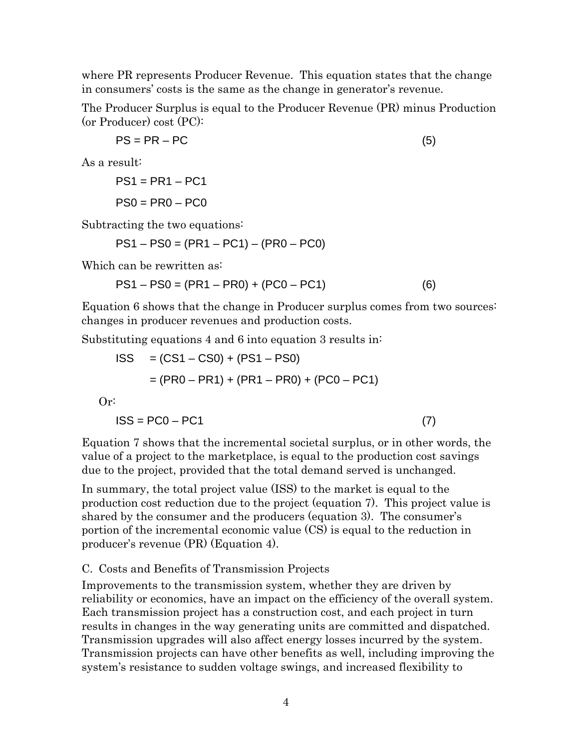where PR represents Producer Revenue. This equation states that the change in consumers' costs is the same as the change in generator's revenue.

The Producer Surplus is equal to the Producer Revenue (PR) minus Production (or Producer) cost (PC):

$$
PS = PR - PC
$$
 (5)

As a result:

$$
PS1 = PR1 - PC1
$$

$$
PS0 = PR0 - PC0
$$

Subtracting the two equations:

PS1 – PS0 = (PR1 – PC1) – (PR0 – PC0)

Which can be rewritten as:

 $PS1 - PS0 = (PR1 - PR0) + (PC0 - PC1)$  (6)

Equation 6 shows that the change in Producer surplus comes from two sources: changes in producer revenues and production costs.

Substituting equations 4 and 6 into equation 3 results in:

$$
ISS = (CS1 - CS0) + (PS1 - PS0)
$$
  
= (PR0 - PR1) + (PR1 - PR0) + (PC0 - PC1)

Or:

$$
\text{ISS} = \text{PC0} - \text{PC1} \tag{7}
$$

Equation 7 shows that the incremental societal surplus, or in other words, the value of a project to the marketplace, is equal to the production cost savings due to the project, provided that the total demand served is unchanged.

In summary, the total project value (ISS) to the market is equal to the production cost reduction due to the project (equation 7). This project value is shared by the consumer and the producers (equation 3). The consumer's portion of the incremental economic value (CS) is equal to the reduction in producer's revenue (PR) (Equation 4).

#### C. Costs and Benefits of Transmission Projects

Improvements to the transmission system, whether they are driven by reliability or economics, have an impact on the efficiency of the overall system. Each transmission project has a construction cost, and each project in turn results in changes in the way generating units are committed and dispatched. Transmission upgrades will also affect energy losses incurred by the system. Transmission projects can have other benefits as well, including improving the system's resistance to sudden voltage swings, and increased flexibility to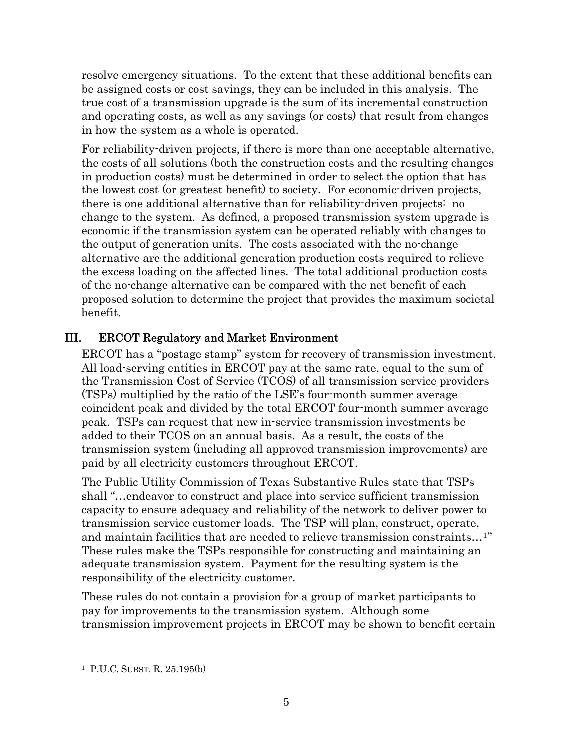resolve emergency situations. To the extent that these additional benefits can be assigned costs or cost savings, they can be included in this analysis. The true cost of a transmission upgrade is the sum of its incremental construction and operating costs, as well as any savings (or costs) that result from changes in how the system as a whole is operated.

For reliability-driven projects, if there is more than one acceptable alternative, the costs of all solutions (both the construction costs and the resulting changes in production costs) must be determined in order to select the option that has the lowest cost (or greatest benefit) to society. For economic-driven projects, there is one additional alternative than for reliability-driven projects: no change to the system. As defined, a proposed transmission system upgrade is economic if the transmission system can be operated reliably with changes to the output of generation units. The costs associated with the no-change alternative are the additional generation production costs required to relieve the excess loading on the affected lines. The total additional production costs of the no-change alternative can be compared with the net benefit of each proposed solution to determine the project that provides the maximum societal benefit.

# III. ERCOT Regulatory and Market Environment

ERCOT has a "postage stamp" system for recovery of transmission investment. All load-serving entities in ERCOT pay at the same rate, equal to the sum of the Transmission Cost of Service (TCOS) of all transmission service providers (TSPs) multiplied by the ratio of the LSE's four-month summer average coincident peak and divided by the total ERCOT four-month summer average peak. TSPs can request that new in-service transmission investments be added to their TCOS on an annual basis. As a result, the costs of the transmission system (including all approved transmission improvements) are paid by all electricity customers throughout ERCOT.

The Public Utility Commission of Texas Substantive Rules state that TSPs shall "…endeavor to construct and place into service sufficient transmission capacity to ensure adequacy and reliability of the network to deliver power to transmission service customer loads. The TSP will plan, construct, operate, and maintain facilities that are needed to relieve transmission constraints…[1](#page-4-0)" These rules make the TSPs responsible for constructing and maintaining an adequate transmission system. Payment for the resulting system is the responsibility of the electricity customer.

These rules do not contain a provision for a group of market participants to pay for improvements to the transmission system. Although some transmission improvement projects in ERCOT may be shown to benefit certain

l

<span id="page-4-0"></span><sup>1</sup> P.U.C. SUBST. R. 25.195(b)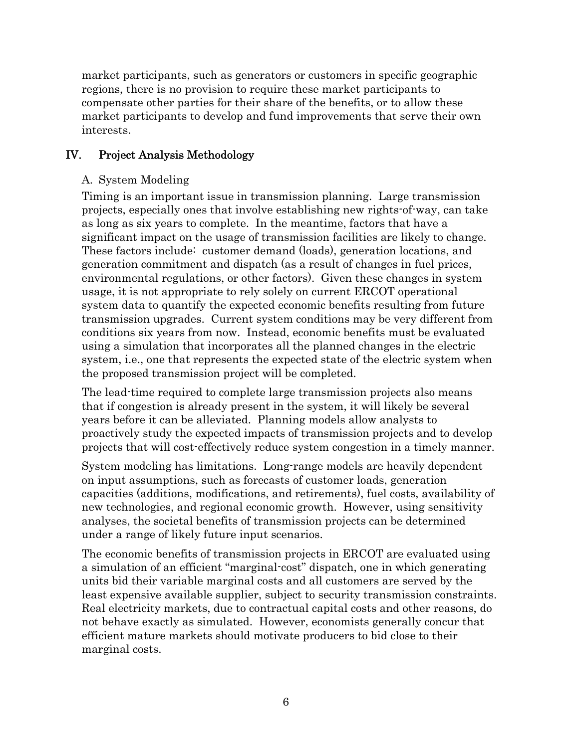market participants, such as generators or customers in specific geographic regions, there is no provision to require these market participants to compensate other parties for their share of the benefits, or to allow these market participants to develop and fund improvements that serve their own interests.

# IV. Project Analysis Methodology

## A. System Modeling

Timing is an important issue in transmission planning. Large transmission projects, especially ones that involve establishing new rights-of-way, can take as long as six years to complete. In the meantime, factors that have a significant impact on the usage of transmission facilities are likely to change. These factors include: customer demand (loads), generation locations, and generation commitment and dispatch (as a result of changes in fuel prices, environmental regulations, or other factors). Given these changes in system usage, it is not appropriate to rely solely on current ERCOT operational system data to quantify the expected economic benefits resulting from future transmission upgrades. Current system conditions may be very different from conditions six years from now. Instead, economic benefits must be evaluated using a simulation that incorporates all the planned changes in the electric system, i.e., one that represents the expected state of the electric system when the proposed transmission project will be completed.

The lead-time required to complete large transmission projects also means that if congestion is already present in the system, it will likely be several years before it can be alleviated. Planning models allow analysts to proactively study the expected impacts of transmission projects and to develop projects that will cost-effectively reduce system congestion in a timely manner.

System modeling has limitations. Long-range models are heavily dependent on input assumptions, such as forecasts of customer loads, generation capacities (additions, modifications, and retirements), fuel costs, availability of new technologies, and regional economic growth. However, using sensitivity analyses, the societal benefits of transmission projects can be determined under a range of likely future input scenarios.

The economic benefits of transmission projects in ERCOT are evaluated using a simulation of an efficient "marginal-cost" dispatch, one in which generating units bid their variable marginal costs and all customers are served by the least expensive available supplier, subject to security transmission constraints. Real electricity markets, due to contractual capital costs and other reasons, do not behave exactly as simulated. However, economists generally concur that efficient mature markets should motivate producers to bid close to their marginal costs.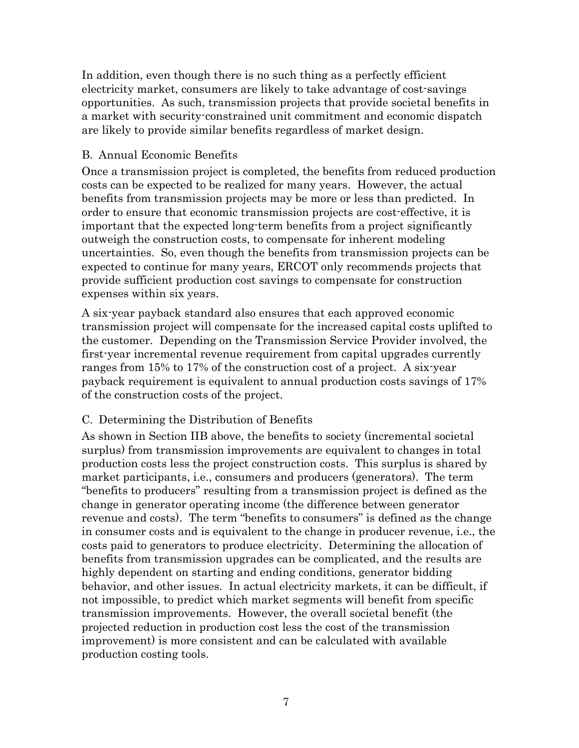In addition, even though there is no such thing as a perfectly efficient electricity market, consumers are likely to take advantage of cost-savings opportunities. As such, transmission projects that provide societal benefits in a market with security-constrained unit commitment and economic dispatch are likely to provide similar benefits regardless of market design.

### B. Annual Economic Benefits

Once a transmission project is completed, the benefits from reduced production costs can be expected to be realized for many years. However, the actual benefits from transmission projects may be more or less than predicted. In order to ensure that economic transmission projects are cost-effective, it is important that the expected long-term benefits from a project significantly outweigh the construction costs, to compensate for inherent modeling uncertainties. So, even though the benefits from transmission projects can be expected to continue for many years, ERCOT only recommends projects that provide sufficient production cost savings to compensate for construction expenses within six years.

A six-year payback standard also ensures that each approved economic transmission project will compensate for the increased capital costs uplifted to the customer. Depending on the Transmission Service Provider involved, the first-year incremental revenue requirement from capital upgrades currently ranges from 15% to 17% of the construction cost of a project. A six-year payback requirement is equivalent to annual production costs savings of 17% of the construction costs of the project.

# C. Determining the Distribution of Benefits

As shown in Section IIB above, the benefits to society (incremental societal surplus) from transmission improvements are equivalent to changes in total production costs less the project construction costs. This surplus is shared by market participants, i.e., consumers and producers (generators). The term "benefits to producers" resulting from a transmission project is defined as the change in generator operating income (the difference between generator revenue and costs). The term "benefits to consumers" is defined as the change in consumer costs and is equivalent to the change in producer revenue, i.e., the costs paid to generators to produce electricity. Determining the allocation of benefits from transmission upgrades can be complicated, and the results are highly dependent on starting and ending conditions, generator bidding behavior, and other issues. In actual electricity markets, it can be difficult, if not impossible, to predict which market segments will benefit from specific transmission improvements. However, the overall societal benefit (the projected reduction in production cost less the cost of the transmission improvement) is more consistent and can be calculated with available production costing tools.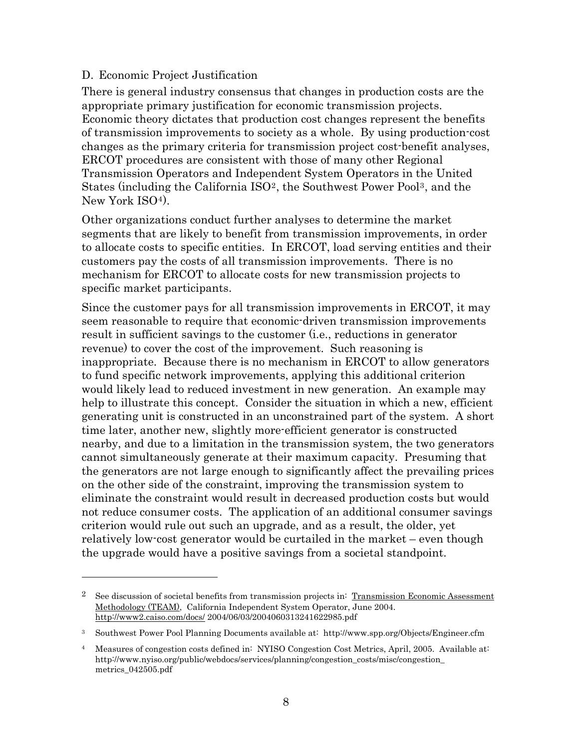### D. Economic Project Justification

l

There is general industry consensus that changes in production costs are the appropriate primary justification for economic transmission projects. Economic theory dictates that production cost changes represent the benefits of transmission improvements to society as a whole. By using production-cost changes as the primary criteria for transmission project cost-benefit analyses, ERCOT procedures are consistent with those of many other Regional Transmission Operators and Independent System Operators in the United States (including the California ISO[2](#page-7-0), the Southwest Power Pool[3](#page-7-1), and the New York ISO4).

Other organizations conduct further analyses to determine the market segments that are likely to benefit from transmission improvements, in order to allocate costs to specific entities. In ERCOT, load serving entities and their customers pay the costs of all transmission improvements. There is no mechanism for ERCOT to allocate costs for new transmission projects to specific market participants.

Since the customer pays for all transmission improvements in ERCOT, it may seem reasonable to require that economic-driven transmission improvements result in sufficient savings to the customer (i.e., reductions in generator revenue) to cover the cost of the improvement. Such reasoning is inappropriate. Because there is no mechanism in ERCOT to allow generators to fund specific network improvements, applying this additional criterion would likely lead to reduced investment in new generation. An example may help to illustrate this concept. Consider the situation in which a new, efficient generating unit is constructed in an unconstrained part of the system. A short time later, another new, slightly more-efficient generator is constructed nearby, and due to a limitation in the transmission system, the two generators cannot simultaneously generate at their maximum capacity. Presuming that the generators are not large enough to significantly affect the prevailing prices on the other side of the constraint, improving the transmission system to eliminate the constraint would result in decreased production costs but would not reduce consumer costs. The application of an additional consumer savings criterion would rule out such an upgrade, and as a result, the older, yet relatively low-cost generator would be curtailed in the market – even though the upgrade would have a positive savings from a societal standpoint.

<span id="page-7-0"></span><sup>&</sup>lt;sup>2</sup> See discussion of societal benefits from transmission projects in: Transmission Economic Assessment Methodology (TEAM), California Independent System Operator, June 2004. <http://www2.caiso.com/docs/>2004/06/03/2004060313241622985.pdf

<span id="page-7-1"></span><sup>3</sup> Southwest Power Pool Planning Documents available at: http://www.spp.org/Objects/Engineer.cfm

<sup>4</sup> Measures of congestion costs defined in: NYISO Congestion Cost Metrics, April, 2005. Available at: http://www.nyiso.org/public/webdocs/services/planning/congestion\_costs/misc/congestion\_ metrics\_042505.pdf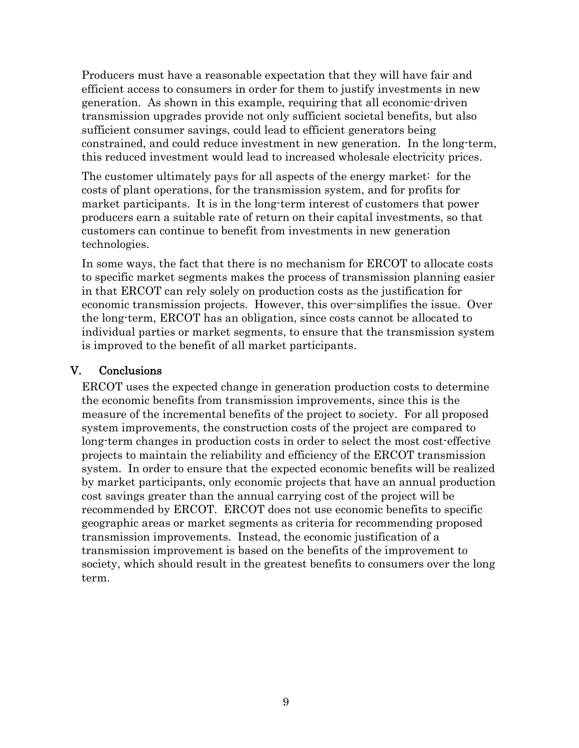Producers must have a reasonable expectation that they will have fair and efficient access to consumers in order for them to justify investments in new generation. As shown in this example, requiring that all economic-driven transmission upgrades provide not only sufficient societal benefits, but also sufficient consumer savings, could lead to efficient generators being constrained, and could reduce investment in new generation. In the long-term, this reduced investment would lead to increased wholesale electricity prices.

The customer ultimately pays for all aspects of the energy market: for the costs of plant operations, for the transmission system, and for profits for market participants. It is in the long-term interest of customers that power producers earn a suitable rate of return on their capital investments, so that customers can continue to benefit from investments in new generation technologies.

In some ways, the fact that there is no mechanism for ERCOT to allocate costs to specific market segments makes the process of transmission planning easier in that ERCOT can rely solely on production costs as the justification for economic transmission projects. However, this over-simplifies the issue. Over the long-term, ERCOT has an obligation, since costs cannot be allocated to individual parties or market segments, to ensure that the transmission system is improved to the benefit of all market participants.

# V. Conclusions

ERCOT uses the expected change in generation production costs to determine the economic benefits from transmission improvements, since this is the measure of the incremental benefits of the project to society. For all proposed system improvements, the construction costs of the project are compared to long-term changes in production costs in order to select the most cost-effective projects to maintain the reliability and efficiency of the ERCOT transmission system. In order to ensure that the expected economic benefits will be realized by market participants, only economic projects that have an annual production cost savings greater than the annual carrying cost of the project will be recommended by ERCOT. ERCOT does not use economic benefits to specific geographic areas or market segments as criteria for recommending proposed transmission improvements. Instead, the economic justification of a transmission improvement is based on the benefits of the improvement to society, which should result in the greatest benefits to consumers over the long term.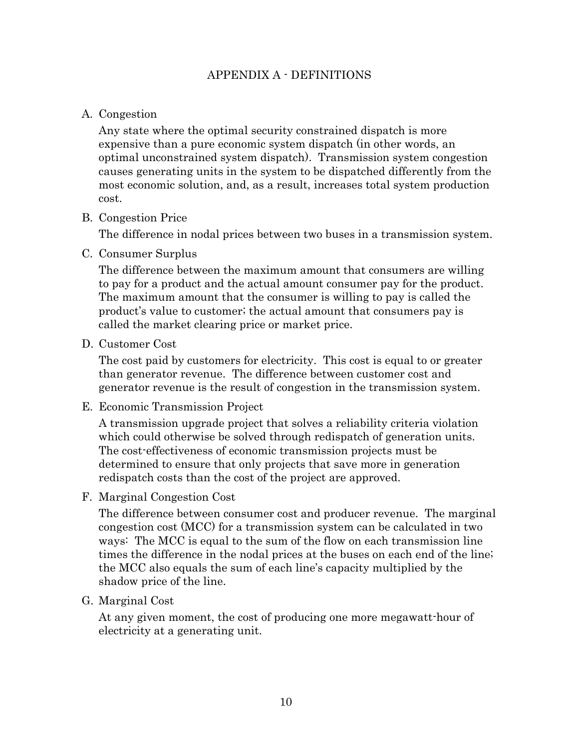## APPENDIX A - DEFINITIONS

### A. Congestion

Any state where the optimal security constrained dispatch is more expensive than a pure economic system dispatch (in other words, an optimal unconstrained system dispatch). Transmission system congestion causes generating units in the system to be dispatched differently from the most economic solution, and, as a result, increases total system production cost.

#### B. Congestion Price

The difference in nodal prices between two buses in a transmission system.

C. Consumer Surplus

The difference between the maximum amount that consumers are willing to pay for a product and the actual amount consumer pay for the product. The maximum amount that the consumer is willing to pay is called the product's value to customer; the actual amount that consumers pay is called the market clearing price or market price.

D. Customer Cost

The cost paid by customers for electricity. This cost is equal to or greater than generator revenue. The difference between customer cost and generator revenue is the result of congestion in the transmission system.

E. Economic Transmission Project

A transmission upgrade project that solves a reliability criteria violation which could otherwise be solved through redispatch of generation units. The cost-effectiveness of economic transmission projects must be determined to ensure that only projects that save more in generation redispatch costs than the cost of the project are approved.

F. Marginal Congestion Cost

The difference between consumer cost and producer revenue. The marginal congestion cost (MCC) for a transmission system can be calculated in two ways: The MCC is equal to the sum of the flow on each transmission line times the difference in the nodal prices at the buses on each end of the line; the MCC also equals the sum of each line's capacity multiplied by the shadow price of the line.

G. Marginal Cost

At any given moment, the cost of producing one more megawatt-hour of electricity at a generating unit.